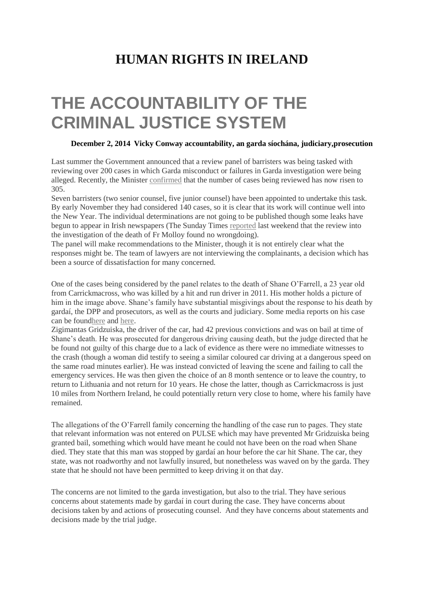## **[HUMAN RIGHTS IN IRELAND](http://humanrights.ie/)**

## **THE ACCOUNTABILITY OF THE CRIMINAL JUSTICE SYSTEM**

## **[December 2, 2014](http://humanrights.ie/criminal-justice/the-accountability-of-the-criminal-justice-system/) [Vicky Conway](http://humanrights.ie/author/vicky/) [accountability,](http://humanrights.ie/tag/accountability/) [an garda síochána,](http://humanrights.ie/tag/an-garda-siochana/) [judiciary](http://humanrights.ie/tag/judiciary/)[,prosecution](http://humanrights.ie/tag/prosecution/)**

Last summer the Government announced that a review panel of barristers was being tasked with reviewing over 200 cases in which Garda misconduct or failures in Garda investigation were being alleged. Recently, the Minister [confirmed](http://www.irishtimes.com/news/crime-and-law/305-cases-of-alleged-garda-misconduct-being-reviewed-1.2009229#.VG8D_zLTKeY.twitter) that the number of cases being reviewed has now risen to 305.

Seven barristers (two senior counsel, five junior counsel) have been appointed to undertake this task. By early November they had considered 140 cases, so it is clear that its work will continue well into the New Year. The individual determinations are not going to be published though some leaks have begun to appear in Irish newspapers (The Sunday Times [reported](mailto:%3cblockquote%20class=%22twitter-tweet%22%20lang=%22en%22%3e%3cp%3eSunday%20Times%20News:%20Dominic%20McGinn&%2339;s%20review%20of%20Fr%20Niall%20Molloy%20murder%20finds%20no%20evidence%20of%20cover-up%20by%20garda,%20as%20alleged.%20By%20%3ca%20href=%22https://twitter.com/JohnMooneyST%22%3e@JohnMooneyST%3c/a%3e%3c/p%3e—%20john%20burns%20(@JohnBurnsST)%20%3ca%20href=%22https://twitter.com/JohnBurnsST/status/538815195595145216%22%3eNovember%2029,%202014%3c/a%3e%3c/blockquote%3e) last weekend that the review into the investigation of the death of Fr Molloy found no wrongdoing).

The panel will make recommendations to the Minister, though it is not entirely clear what the responses might be. The team of lawyers are not interviewing the complainants, a decision which has been a source of dissatisfaction for many concerned.

One of the cases being considered by the panel relates to the death of Shane O'Farrell, a 23 year old from Carrickmacross, who was killed by a hit and run driver in 2011. His mother holds a picture of him in the image above. Shane's family have substantial misgivings about the response to his death by gardaí, the DPP and prosecutors, as well as the courts and judiciary. Some media reports on his case can be foun[dhere](http://www.broadsheet.ie/2013/11/22/the-case-of-shane-ofarrell/) and [here.](http://www.independent.ie/irish-news/my-son-was-killed-by-state-says-mum-of-hitandrun-victim-30054029.html)

Zigimantas Gridzuiska, the driver of the car, had 42 previous convictions and was on bail at time of Shane's death. He was prosecuted for dangerous driving causing death, but the judge directed that he be found not guilty of this charge due to a lack of evidence as there were no immediate witnesses to the crash (though a woman did testify to seeing a similar coloured car driving at a dangerous speed on the same road minutes earlier). He was instead convicted of leaving the scene and failing to call the emergency services. He was then given the choice of an 8 month sentence or to leave the country, to return to Lithuania and not return for 10 years. He chose the latter, though as Carrickmacross is just 10 miles from Northern Ireland, he could potentially return very close to home, where his family have remained.

The allegations of the O'Farrell family concerning the handling of the case run to pages. They state that relevant information was not entered on PULSE which may have prevented Mr Gridzuiska being granted bail, something which would have meant he could not have been on the road when Shane died. They state that this man was stopped by gardaí an hour before the car hit Shane. The car, they state, was not roadworthy and not lawfully insured, but nonetheless was waved on by the garda. They state that he should not have been permitted to keep driving it on that day.

The concerns are not limited to the garda investigation, but also to the trial. They have serious concerns about statements made by gardaí in court during the case. They have concerns about decisions taken by and actions of prosecuting counsel. And they have concerns about statements and decisions made by the trial judge.